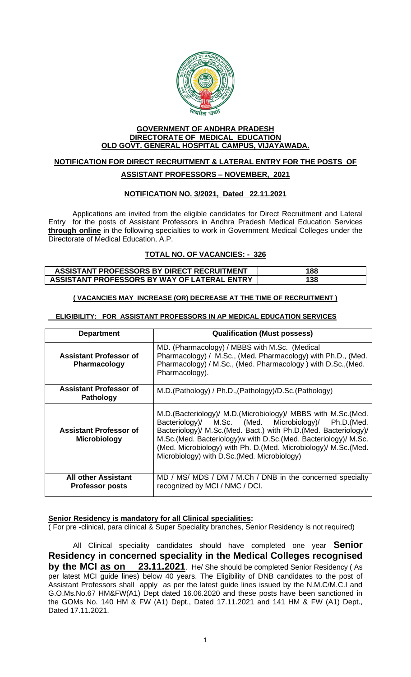

#### **GOVERNMENT OF ANDHRA PRADESH DIRECTORATE OF MEDICAL EDUCATION OLD GOVT. GENERAL HOSPITAL CAMPUS, VIJAYAWADA.**

# **NOTIFICATION FOR DIRECT RECRUITMENT & LATERAL ENTRY FOR THE POSTS OF ASSISTANT PROFESSORS – NOVEMBER, 2021**

## **NOTIFICATION NO. 3/2021, Dated 22.11.2021**

Applications are invited from the eligible candidates for Direct Recruitment and Lateral Entry for the posts of Assistant Professors in Andhra Pradesh Medical Education Services **through online** in the following specialties to work in Government Medical Colleges under the Directorate of Medical Education, A.P.

### **TOTAL NO. OF VACANCIES: - 326**

| ASSISTANT PROFESSORS BY DIRECT RECRUITMENT   | 188 |
|----------------------------------------------|-----|
| ASSISTANT PROFESSORS BY WAY OF LATERAL ENTRY | 138 |

#### **( VACANCIES MAY INCREASE (OR) DECREASE AT THE TIME OF RECRUITMENT )**

#### **ELIGIBILITY: FOR ASSISTANT PROFESSORS IN AP MEDICAL EDUCATION SERVICES**

| <b>Department</b>                                    | <b>Qualification (Must possess)</b>                                                                                                                                                                                                                                                                                                                                                 |  |
|------------------------------------------------------|-------------------------------------------------------------------------------------------------------------------------------------------------------------------------------------------------------------------------------------------------------------------------------------------------------------------------------------------------------------------------------------|--|
| <b>Assistant Professor of</b><br><b>Pharmacology</b> | MD. (Pharmacology) / MBBS with M.Sc. (Medical<br>Pharmacology) / M.Sc., (Med. Pharmacology) with Ph.D., (Med.<br>Pharmacology) / M.Sc., (Med. Pharmacology) with D.Sc., (Med.<br>Pharmacology).                                                                                                                                                                                     |  |
| <b>Assistant Professor of</b><br><b>Pathology</b>    | M.D.(Pathology) / Ph.D., (Pathology)/D.Sc. (Pathology)                                                                                                                                                                                                                                                                                                                              |  |
| <b>Assistant Professor of</b><br><b>Microbiology</b> | M.D. (Bacteriology)/ M.D. (Microbiology)/ MBBS with M.Sc. (Med.<br>Bacteriology)/ M.Sc. (Med. Microbiology)/ Ph.D.(Med.<br>Bacteriology)/ M.Sc.(Med. Bact.) with Ph.D.(Med. Bacteriology)/<br>M.Sc. (Med. Bacteriology) w with D.Sc. (Med. Bacteriology)/ M.Sc.<br>(Med. Microbiology) with Ph. D. (Med. Microbiology)/ M.Sc. (Med.<br>Microbiology) with D.Sc. (Med. Microbiology) |  |
| <b>All other Assistant</b><br><b>Professor posts</b> | MD / MS/ MDS / DM / M.Ch / DNB in the concerned specialty<br>recognized by MCI / NMC / DCI.                                                                                                                                                                                                                                                                                         |  |

#### **Senior Residency is mandatory for all Clinical specialities:**

( For pre -clinical, para clinical & Super Speciality branches, Senior Residency is not required)

 All Clinical speciality candidates should have completed one year **Senior Residency in concerned speciality in the Medical Colleges recognised by the MCI as on 23.11.2021**. He/ She should be completed Senior Residency ( As per latest MCI guide lines) below 40 years. The Eligibility of DNB candidates to the post of Assistant Professors shall apply as per the latest guide lines issued by the N.M.C/M.C.I and G.O.Ms.No.67 HM&FW(A1) Dept dated 16.06.2020 and these posts have been sanctioned in the GOMs No. 140 HM & FW (A1) Dept., Dated 17.11.2021 and 141 HM & FW (A1) Dept., Dated 17.11.2021.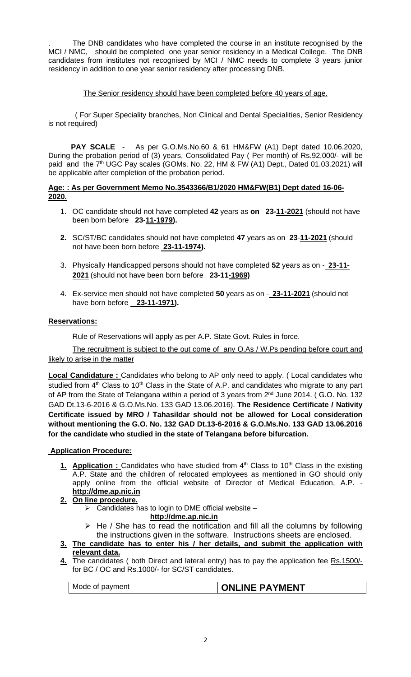. The DNB candidates who have completed the course in an institute recognised by the MCI / NMC, should be completed one year senior residency in a Medical College. The DNB candidates from institutes not recognised by MCI / NMC needs to complete 3 years junior residency in addition to one year senior residency after processing DNB.

#### The Senior residency should have been completed before 40 years of age.

 ( For Super Speciality branches, Non Clinical and Dental Specialities, Senior Residency is not required)

 **PAY SCALE** - As per G.O.Ms.No.60 & 61 HM&FW (A1) Dept dated 10.06.2020, During the probation period of (3) years, Consolidated Pay ( Per month) of Rs.92,000/- will be paid and the 7<sup>th</sup> UGC Pay scales (GOMs. No. 22, HM & FW (A1) Dept., Dated 01.03.2021) will be applicable after completion of the probation period.

#### **Age: : As per Government Memo No.3543366/B1/2020 HM&FW(B1) Dept dated 16-06- 2020.**

- 1. OC candidate should not have completed **42** years as **on 23-11-2021** (should not have been born before **23-11-1979).**
- **2.** SC/ST/BC candidates should not have completed **47** years as on **23**-**11-2021** (should not have been born before **23-11-1974).**
- 3. Physically Handicapped persons should not have completed **52** years as on - **23-11- 2021** (should not have been born before **23-11-1969)**
- 4. Ex-service men should not have completed **50** years as on - **23-11-2021** (should not have born before **23-11-1971).**

#### **Reservations:**

Rule of Reservations will apply as per A.P. State Govt. Rules in force.

The recruitment is subject to the out come of any O.As / W.Ps pending before court and likely to arise in the matter

**Local Candidature :** Candidates who belong to AP only need to apply. ( Local candidates who studied from  $4<sup>th</sup>$  Class to 10<sup>th</sup> Class in the State of A.P. and candidates who migrate to any part of AP from the State of Telangana within a period of 3 years from 2<sup>nd</sup> June 2014. (G.O. No. 132) GAD Dt.13-6-2016 & G.O.Ms.No. 133 GAD 13.06.2016). **The Residence Certificate / Nativity Certificate issued by MRO / Tahasildar should not be allowed for Local consideration without mentioning the G.O. No. 132 GAD Dt.13-6-2016 & G.O.Ms.No. 133 GAD 13.06.2016 for the candidate who studied in the state of Telangana before bifurcation.**

#### **Application Procedure:**

1. **Application :** Candidates who have studied from 4<sup>th</sup> Class to 10<sup>th</sup> Class in the existing A.P. State and the children of relocated employees as mentioned in GO should only apply online from the official website of Director of Medical Education, A.P. **[http://dme.ap.nic.in](http://dme.ap.nic.in/)**

## **2. On line procedure.**

 $\triangleright$  Candidates has to login to DME official website –

**[http://dme.ap.nic.in](http://dme.ap.nic.in/)**

- $\triangleright$  He / She has to read the notification and fill all the columns by following the instructions given in the software. Instructions sheets are enclosed.
- **3. The candidate has to enter his / her details, and submit the application with relevant data.**
- **4.** The candidates ( both Direct and lateral entry) has to pay the application fee Rs.1500/ for BC / OC and Rs.1000/- for SC/ST candidates.

## Mode of payment **CONLINE PAYMENT**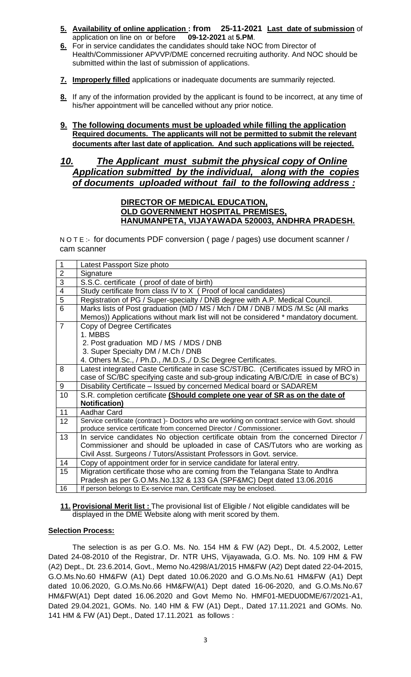- **5. Availability of online application : from 25-11-2021 Last date of submission** of application on line on or before
- **6.** For in service candidates the candidates should take NOC from Director of Health/Commissioner APVVP/DME concerned recruiting authority. And NOC should be submitted within the last of submission of applications.
- **7. Improperly filled** applications or inadequate documents are summarily rejected.
- **8.** If any of the information provided by the applicant is found to be incorrect, at any time of his/her appointment will be cancelled without any prior notice.
- **9. The following documents must be uploaded while filling the application Required documents. The applicants will not be permitted to submit the relevant documents after last date of application. And such applications will be rejected.**

# *10. The Applicant must submit the physical copy of Online Application submitted by the individual, along with the copies of documents uploaded without fail to the following address :*

#### **DIRECTOR OF MEDICAL EDUCATION, OLD GOVERNMENT HOSPITAL PREMISES, HANUMANPETA, VIJAYAWADA 520003, ANDHRA PRADESH.**

N O T E :- for documents PDF conversion ( page / pages) use document scanner / cam scanner

| $\mathbf{1}$            | Latest Passport Size photo                                                                     |
|-------------------------|------------------------------------------------------------------------------------------------|
| $\overline{2}$          | Signature                                                                                      |
| $\overline{3}$          | S.S.C. certificate (proof of date of birth)                                                    |
| $\overline{\mathbf{4}}$ | Study certificate from class IV to X (Proof of local candidates)                               |
| $\overline{5}$          | Registration of PG / Super-specialty / DNB degree with A.P. Medical Council.                   |
| 6                       | Marks lists of Post graduation (MD / MS / Mch / DM / DNB / MDS /M.Sc (All marks                |
|                         | Memos)) Applications without mark list will not be considered * mandatory document.            |
| $\overline{7}$          | Copy of Degree Certificates                                                                    |
|                         | 1. MBBS                                                                                        |
|                         | 2. Post graduation MD / MS / MDS / DNB                                                         |
|                         | 3. Super Specialty DM / M.Ch / DNB                                                             |
|                         | 4. Others M.Sc., / Ph.D., /M.D.S.,/ D.Sc Degree Certificates.                                  |
| 8                       | Latest integrated Caste Certificate in case SC/ST/BC. (Certificates issued by MRO in           |
|                         | case of SC/BC specifying caste and sub-group indicating A/B/C/D/E in case of BC's)             |
| 9                       | Disability Certificate - Issued by concerned Medical board or SADAREM                          |
| 10                      | S.R. completion certificate (Should complete one year of SR as on the date of                  |
|                         | <b>Notification)</b>                                                                           |
| 11                      | Aadhar Card                                                                                    |
| 12                      | Service certificate (contract) - Doctors who are working on contract service with Govt. should |
|                         | produce service certificate from concerned Director / Commissioner.                            |
| 13                      | In service candidates No objection certificate obtain from the concerned Director /            |
|                         | Commissioner and should be uploaded in case of CAS/Tutors who are working as                   |
|                         | Civil Asst. Surgeons / Tutors/Assistant Professors in Govt. service.                           |
| 14                      | Copy of appointment order for in service candidate for lateral entry.                          |
| 15                      | Migration certificate those who are coming from the Telangana State to Andhra                  |
|                         | Pradesh as per G.O.Ms.No.132 & 133 GA (SPF&MC) Dept dated 13.06.2016                           |
| 16                      | If person belongs to Ex-service man, Certificate may be enclosed.                              |

**11. Provisional Merit list :** The provisional list of Eligible / Not eligible candidates will be displayed in the DME Website along with merit scored by them.

#### **Selection Process:**

The selection is as per G.O. Ms. No. 154 HM & FW (A2) Dept., Dt. 4.5.2002, Letter Dated 24-08-2010 of the Registrar, Dr. NTR UHS, Vijayawada, G.O. Ms. No. 109 HM & FW (A2) Dept., Dt. 23.6.2014, Govt., Memo No.4298/A1/2015 HM&FW (A2) Dept dated 22-04-2015, G.O.Ms.No.60 HM&FW (A1) Dept dated 10.06.2020 and G.O.Ms.No.61 HM&FW (A1) Dept dated 10.06.2020, G.O.Ms.No.66 HM&FW(A1) Dept dated 16-06-2020, and G.O.Ms.No.67 HM&FW(A1) Dept dated 16.06.2020 and Govt Memo No. HMF01-MEDU0DME/67/2021-A1, Dated 29.04.2021, GOMs. No. 140 HM & FW (A1) Dept., Dated 17.11.2021 and GOMs. No. 141 HM & FW (A1) Dept., Dated 17.11.2021 as follows :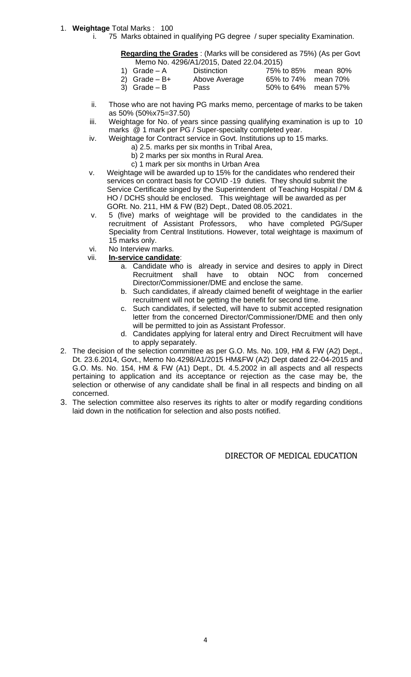#### 1. **Weightage** Total Marks : 100

i. 75 Marks obtained in qualifying PG degree / super speciality Examination.

#### **Regarding the Grades** : (Marks will be considered as 75%) (As per Govt Memo No. 4296/A1/2015, Dated 22.04.2015)

|                 | $100110110011200011112010100122001220101$ |                     |  |
|-----------------|-------------------------------------------|---------------------|--|
| 1) Grade $-A$   | <b>Distinction</b>                        | 75% to 85% mean 80% |  |
| 2) Grade $- B+$ | Above Average                             | 65% to 74% mean 70% |  |
| 3) Grade $- B$  | Pass                                      | 50% to 64% mean 57% |  |
|                 |                                           |                     |  |

- ii. Those who are not having PG marks memo, percentage of marks to be taken as 50% (50%x75=37.50)
- iii. Weightage for No. of years since passing qualifying examination is up to 10 marks @ 1 mark per PG / Super-specialty completed year.
- iv. Weightage for Contract service in Govt. Institutions up to 15 marks.
	- a) 2.5. marks per six months in Tribal Area,
	- b) 2 marks per six months in Rural Area.
	- c) 1 mark per six months in Urban Area
- v. Weightage will be awarded up to 15% for the candidates who rendered their services on contract basis for COVID -19 duties. They should submit the Service Certificate singed by the Superintendent of Teaching Hospital / DM & HO / DCHS should be enclosed. This weightage will be awarded as per GORt. No. 211, HM & FW (B2) Dept., Dated 08.05.2021.
- v. 5 (five) marks of weightage will be provided to the candidates in the recruitment of Assistant Professors, who have completed PG/Super Speciality from Central Institutions. However, total weightage is maximum of 15 marks only.
- vi. No Interview marks.
- vii. **In-service candidate**:
	- a. Candidate who is already in service and desires to apply in Direct Recruitment shall have to obtain NOC from concerned Director/Commissioner/DME and enclose the same.
	- b. Such candidates, if already claimed benefit of weightage in the earlier recruitment will not be getting the benefit for second time.
	- c. Such candidates, if selected, will have to submit accepted resignation letter from the concerned Director/Commissioner/DME and then only will be permitted to join as Assistant Professor.
	- d. Candidates applying for lateral entry and Direct Recruitment will have to apply separately.
- 2. The decision of the selection committee as per G.O. Ms. No. 109, HM & FW (A2) Dept., Dt. 23.6.2014, Govt., Memo No.4298/A1/2015 HM&FW (A2) Dept dated 22-04-2015 and G.O. Ms. No. 154, HM & FW (A1) Dept., Dt. 4.5.2002 in all aspects and all respects pertaining to application and its acceptance or rejection as the case may be, the selection or otherwise of any candidate shall be final in all respects and binding on all concerned.
- 3. The selection committee also reserves its rights to alter or modify regarding conditions laid down in the notification for selection and also posts notified.

DIRECTOR OF MEDICAL EDUCATION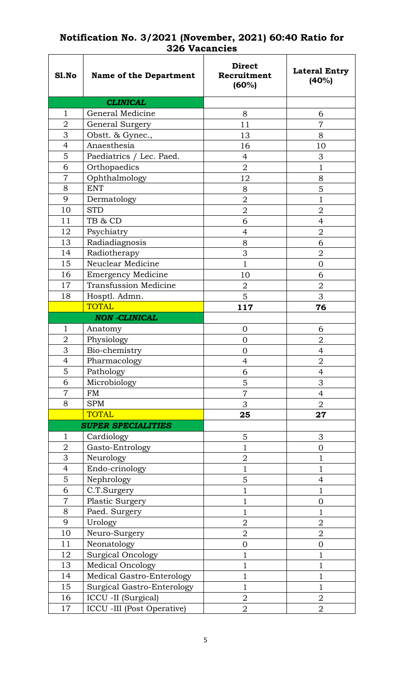| Sl.No          | <b>Name of the Department</b> | <b>Direct</b><br>Recruitment<br>(60%) | <b>Lateral Entry</b><br>(40%) |
|----------------|-------------------------------|---------------------------------------|-------------------------------|
|                | <b>CLINICAL</b>               |                                       |                               |
| $\mathbf{1}$   | General Medicine              | 8                                     | 6                             |
| $\overline{2}$ | General Surgery               | 11                                    | 7                             |
| 3              | Obstt. & Gynec.,              | 13                                    | 8                             |
| $\overline{4}$ | Anaesthesia                   | 16                                    | 10                            |
| 5              | Paediatrics / Lec. Paed.      | $\overline{4}$                        | 3                             |
| 6              | Orthopaedics                  | $\overline{2}$                        | $\mathbf 1$                   |
| $\overline{7}$ | Ophthalmology                 | 12                                    | 8                             |
| 8              | <b>ENT</b>                    | 8                                     | 5                             |
| 9              | Dermatology                   | $\overline{2}$                        | $\mathbf 1$                   |
| 10             | <b>STD</b>                    | $\overline{2}$                        | $\overline{2}$                |
| 11             | TB & CD                       | 6                                     | 4                             |
| 12             | Psychiatry                    | $\overline{4}$                        | $\overline{2}$                |
| 13             | Radiadiagnosis                | 8                                     | 6                             |
| 14             | Radiotherapy                  | 3                                     | $\overline{2}$                |
| 15             | Neuclear Medicine             | $\mathbf{1}$                          | $\overline{0}$                |
| 16             | <b>Emergency Medicine</b>     | 10                                    | 6                             |
| 17             | <b>Transfussion Medicine</b>  | $\overline{2}$                        | $\overline{2}$                |
| 18             | Hosptl. Admn.                 | 5                                     | 3                             |
|                | <b>TOTAL</b>                  | 117                                   | 76                            |
|                | <b>NON -CLINICAL</b>          |                                       |                               |
| 1              | Anatomy                       | $\overline{0}$                        | 6                             |
| $\overline{2}$ | Physiology                    | $\mathbf 0$                           | $\overline{2}$                |
| 3              | Bio-chemistry                 | $\mathbf{0}$                          | $\overline{4}$                |
| 4              | Pharmacology                  | 4                                     | $\overline{2}$                |
| 5              | Pathology                     | 6                                     | 4                             |
| 6              | Microbiology                  | 5                                     | 3                             |
| $\overline{7}$ | <b>FM</b>                     | $\overline{7}$                        | $\overline{4}$                |
| 8              | <b>SPM</b>                    | 3                                     | $\overline{2}$                |
|                | <b>TOTAL</b>                  | 25                                    | 27                            |
|                | <b>SUPER SPECIALITIES</b>     |                                       |                               |
| 1              | Cardiology                    | 5                                     | 3                             |
| $\overline{2}$ | Gasto-Entrology               | $\mathbf{1}$                          | $\overline{0}$                |
| 3              | Neurology                     | $\overline{2}$                        | $\mathbf{1}$                  |
| 4              | Endo-crinology                | $\mathbf 1$                           | $\mathbf{1}$                  |
| 5              | Nephrology                    | 5                                     | 4                             |
| 6              | C.T.Surgery                   | 1                                     | $\mathbf 1$                   |
| $\overline{7}$ | Plastic Surgery               | $\mathbf{1}$                          | $\mathbf{0}$                  |
| 8              | Paed. Surgery                 | $\mathbf{1}$                          | $\mathbf{1}$                  |
| 9              | Urology                       | $\overline{2}$                        | $\overline{2}$                |
| 10             | Neuro-Surgery                 | $\overline{2}$                        | $\mathbf 2$                   |
| 11             | Neonatology                   | $\overline{0}$                        | $\overline{0}$                |
| 12             | <b>Surgical Oncology</b>      | 1                                     | $\mathbf{1}$                  |
| 13             | <b>Medical Oncology</b>       | $\mathbf 1$                           | $\mathbf 1$                   |
| 14             | Medical Gastro-Enterology     | $\mathbf{1}$                          | $\mathbf{1}$                  |
| 15             | Surgical Gastro-Enterology    | 1                                     | $\mathbf{1}$                  |
| 16             | ICCU -II (Surgical)           | $\overline{2}$                        | $\mathbf 2$                   |
| 17             | ICCU -III (Post Operative)    | $\overline{2}$                        | $\overline{2}$                |

# **Notification No. 3/2021 (November, 2021) 60:40 Ratio for 326 Vacancies**